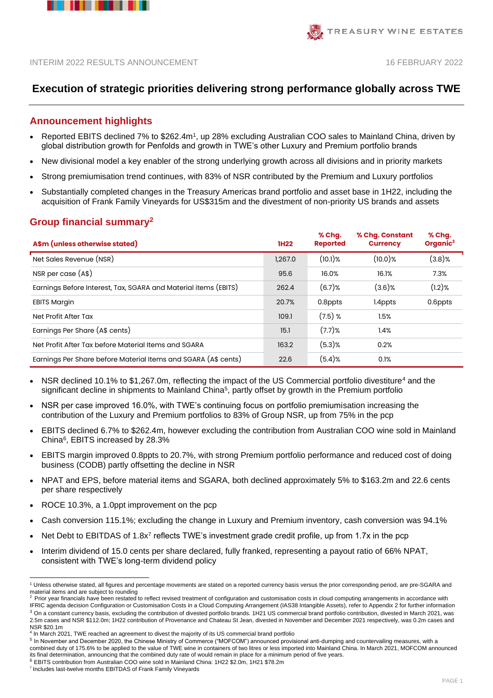



# **Execution of strategic priorities delivering strong performance globally across TWE**

# **Announcement highlights**

- Reported EBITS declined 7% to \$262.4m<sup>1</sup>, up 28% excluding Australian COO sales to Mainland China, driven by global distribution growth for Penfolds and growth in TWE's other Luxury and Premium portfolio brands
- New divisional model a key enabler of the strong underlying growth across all divisions and in priority markets
- Strong premiumisation trend continues, with 83% of NSR contributed by the Premium and Luxury portfolios
- Substantially completed changes in the Treasury Americas brand portfolio and asset base in 1H22, including the acquisition of Frank Family Vineyards for US\$315m and the divestment of non-priority US brands and assets

# **Group financial summary<sup>2</sup>**

| A\$m (unless otherwise stated)                                  | <b>1H22</b> | % Chq.<br><b>Reported</b> | % Chg. Constant<br><b>Currency</b> | % Chq.<br>Organic <sup>3</sup> |
|-----------------------------------------------------------------|-------------|---------------------------|------------------------------------|--------------------------------|
| Net Sales Revenue (NSR)                                         | 1,267.0     | $(10.1)$ %                | $(10.0)$ %                         | $(3.8)$ %                      |
| NSR per case (A\$)                                              | 95.6        | 16.0%                     | 16.1%                              | 7.3%                           |
| Earnings Before Interest, Tax, SGARA and Material items (EBITS) | 262.4       | $(6.7)$ %                 | $(3.6)$ %                          | $(1.2)$ %                      |
| <b>EBITS Margin</b>                                             | 20.7%       | 0.8ppts                   | 1.4ppts                            | 0.6ppts                        |
| Net Profit After Tax                                            | 109.1       | $(7.5)$ %                 | 1.5%                               |                                |
| Earnings Per Share (A\$ cents)                                  | 15.1        | $(7.7)$ %                 | 1.4%                               |                                |
| Net Profit After Tax before Material Items and SGARA            | 163.2       | $(5.3)$ %                 | 0.2%                               |                                |
| Earnings Per Share before Material Items and SGARA (A\$ cents)  | 22.6        | $(5.4)$ %                 | 0.1%                               |                                |

- NSR declined 10.1% to \$1,267.0m, reflecting the impact of the US Commercial portfolio divestiture<sup>4</sup> and the significant decline in shipments to Mainland China<sup>5</sup>, partly offset by growth in the Premium portfolio
- NSR per case improved 16.0%, with TWE's continuing focus on portfolio premiumisation increasing the contribution of the Luxury and Premium portfolios to 83% of Group NSR, up from 75% in the pcp
- EBITS declined 6.7% to \$262.4m, however excluding the contribution from Australian COO wine sold in Mainland China<sup>6</sup> , EBITS increased by 28.3%
- EBITS margin improved 0.8ppts to 20.7%, with strong Premium portfolio performance and reduced cost of doing business (CODB) partly offsetting the decline in NSR
- NPAT and EPS, before material items and SGARA, both declined approximately 5% to \$163.2m and 22.6 cents per share respectively
- ROCE 10.3%, a 1.0ppt improvement on the pcp
- Cash conversion 115.1%; excluding the change in Luxury and Premium inventory, cash conversion was 94.1%
- Net Debt to EBITDAS of 1.8x<sup>7</sup> reflects TWE's investment grade credit profile, up from 1.7x in the pcp
- Interim dividend of 15.0 cents per share declared, fully franked, representing a payout ratio of 66% NPAT, consistent with TWE's long-term dividend policy

<sup>1</sup> Unless otherwise stated, all figures and percentage movements are stated on a reported currency basis versus the prior corresponding period, are pre-SGARA and material items and are subject to rounding

<sup>2.</sup> Prior year financials have been restated to reflect revised treatment of configuration and customisation costs in cloud computing arrangements in accordance with IFRIC agenda decision Configuration or Customisation Costs in a Cloud Computing Arrangement (IAS38 Intangible Assets), refer to Appendix 2 for further information

<sup>&</sup>lt;sup>3</sup> On a constant currency basis, excluding the contribution of divested portfolio brands. 1H21 US commercial brand portfolio contribution, divested in March 2021, was 2.5m cases and NSR \$112.0m; 1H22 contribution of Provenance and Chateau St Jean, divested in November and December 2021 respectively, was 0.2m cases and NSR \$20.1m

<sup>4</sup> In March 2021, TWE reached an agreement to divest the majority of its US commercial brand portfolio

<sup>&</sup>lt;sup>5</sup> In November and December 2020, the Chinese Ministry of Commerce ("MOFCOM") announced provisional anti-dumping and countervailing measures, with a combined duty of 175.6% to be applied to the value of TWE wine in containers of two litres or less imported into Mainland China. In March 2021, MOFCOM announced its final determination, announcing that the combined duty rate of would remain in place for a minimum period of five years.

<sup>6</sup> EBITS contribution from Australian COO wine sold in Mainland China: 1H22 \$2.0m, 1H21 \$78.2m

<sup>7</sup> Includes last-twelve months EBITDAS of Frank Family Vineyards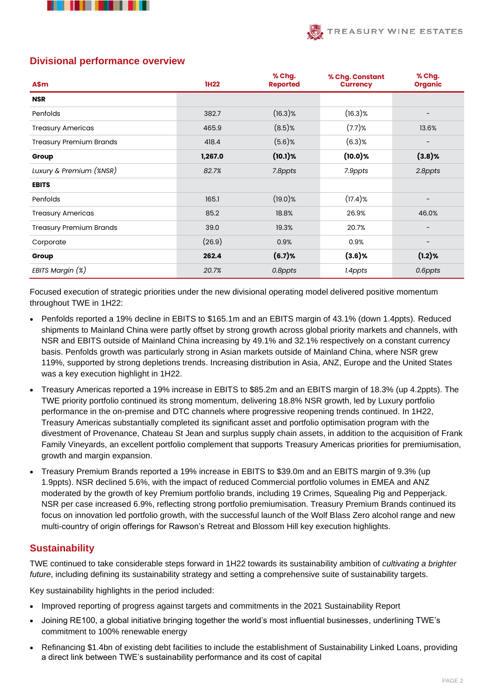



# **Divisional performance overview**

| A\$m                           | <b>1H22</b> | % Chg.<br><b>Reported</b> | % Chg. Constant<br><b>Currency</b> | % Chg.<br><b>Organic</b> |
|--------------------------------|-------------|---------------------------|------------------------------------|--------------------------|
| <b>NSR</b>                     |             |                           |                                    |                          |
| Penfolds                       | 382.7       | $(16.3)\%$                | $(16.3)$ %                         |                          |
| <b>Treasury Americas</b>       | 465.9       | $(8.5)$ %                 | $(7.7)$ %                          | 13.6%                    |
| <b>Treasury Premium Brands</b> | 418.4       | $(5.6)$ %                 | $(6.3)$ %                          |                          |
| Group                          | 1,267.0     | $(10.1)$ %                | $(10.0)$ %                         | $(3.8)$ %                |
| Luxury & Premium (%NSR)        | 82.7%       | 7.8ppts                   | 7.9ppts                            | 2.8ppts                  |
| <b>EBITS</b>                   |             |                           |                                    |                          |
| Penfolds                       | 165.1       | $(19.0)\%$                | $(17.4)$ %                         | -                        |
| <b>Treasury Americas</b>       | 85.2        | 18.8%                     | 26.9%                              | 46.0%                    |
| <b>Treasury Premium Brands</b> | 39.0        | 19.3%                     | 20.7%                              | -                        |
| Corporate                      | (26.9)      | 0.9%                      | 0.9%                               | $\qquad \qquad -$        |
| Group                          | 262.4       | $(6.7)$ %                 | $(3.6)$ %                          | $(1.2)$ %                |
| EBITS Margin (%)               | 20.7%       | 0.8ppts                   | 1.4ppts                            | 0.6ppts                  |

Focused execution of strategic priorities under the new divisional operating model delivered positive momentum throughout TWE in 1H22:

- Penfolds reported a 19% decline in EBITS to \$165.1m and an EBITS margin of 43.1% (down 1.4ppts). Reduced shipments to Mainland China were partly offset by strong growth across global priority markets and channels, with NSR and EBITS outside of Mainland China increasing by 49.1% and 32.1% respectively on a constant currency basis. Penfolds growth was particularly strong in Asian markets outside of Mainland China, where NSR grew 119%, supported by strong depletions trends. Increasing distribution in Asia, ANZ, Europe and the United States was a key execution highlight in 1H22.
- Treasury Americas reported a 19% increase in EBITS to \$85.2m and an EBITS margin of 18.3% (up 4.2ppts). The TWE priority portfolio continued its strong momentum, delivering 18.8% NSR growth, led by Luxury portfolio performance in the on-premise and DTC channels where progressive reopening trends continued. In 1H22, Treasury Americas substantially completed its significant asset and portfolio optimisation program with the divestment of Provenance, Chateau St Jean and surplus supply chain assets, in addition to the acquisition of Frank Family Vineyards, an excellent portfolio complement that supports Treasury Americas priorities for premiumisation, growth and margin expansion.
- Treasury Premium Brands reported a 19% increase in EBITS to \$39.0m and an EBITS margin of 9.3% (up 1.9ppts). NSR declined 5.6%, with the impact of reduced Commercial portfolio volumes in EMEA and ANZ moderated by the growth of key Premium portfolio brands, including 19 Crimes, Squealing Pig and Pepperjack. NSR per case increased 6.9%, reflecting strong portfolio premiumisation. Treasury Premium Brands continued its focus on innovation led portfolio growth, with the successful launch of the Wolf Blass Zero alcohol range and new multi-country of origin offerings for Rawson's Retreat and Blossom Hill key execution highlights.

# **Sustainability**

TWE continued to take considerable steps forward in 1H22 towards its sustainability ambition of *cultivating a brighter future*, including defining its sustainability strategy and setting a comprehensive suite of sustainability targets.

Key sustainability highlights in the period included:

- Improved reporting of progress against targets and commitments in the 2021 Sustainability Report
- Joining RE100, a global initiative bringing together the world's most influential businesses, underlining TWE's commitment to 100% renewable energy
- Refinancing \$1.4bn of existing debt facilities to include the establishment of Sustainability Linked Loans, providing a direct link between TWE's sustainability performance and its cost of capital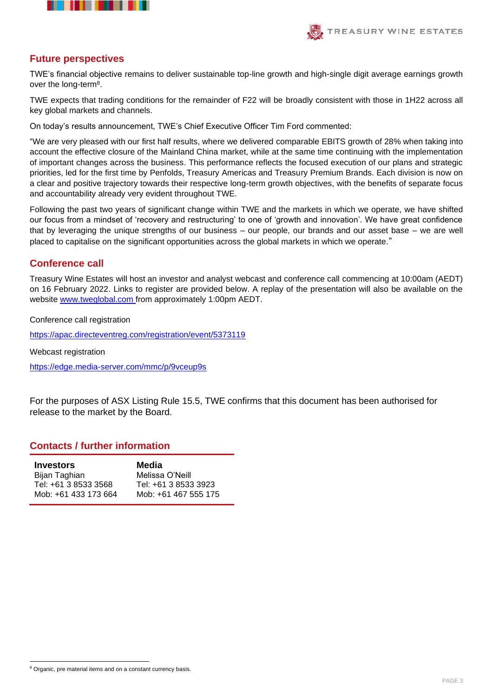



## **Future perspectives**

TWE's financial objective remains to deliver sustainable top-line growth and high-single digit average earnings growth over the long-term<sup>8</sup>.

TWE expects that trading conditions for the remainder of F22 will be broadly consistent with those in 1H22 across all key global markets and channels.

On today's results announcement, TWE's Chief Executive Officer Tim Ford commented:

"We are very pleased with our first half results, where we delivered comparable EBITS growth of 28% when taking into account the effective closure of the Mainland China market, while at the same time continuing with the implementation of important changes across the business. This performance reflects the focused execution of our plans and strategic priorities, led for the first time by Penfolds, Treasury Americas and Treasury Premium Brands. Each division is now on a clear and positive trajectory towards their respective long-term growth objectives, with the benefits of separate focus and accountability already very evident throughout TWE.

Following the past two years of significant change within TWE and the markets in which we operate, we have shifted our focus from a mindset of 'recovery and restructuring' to one of 'growth and innovation'. We have great confidence that by leveraging the unique strengths of our business – our people, our brands and our asset base – we are well placed to capitalise on the significant opportunities across the global markets in which we operate."

## **Conference call**

Treasury Wine Estates will host an investor and analyst webcast and conference call commencing at 10:00am (AEDT) on 16 February 2022. Links to register are provided below. A replay of the presentation will also be available on the website [www.tweglobal.com](http://www.tweglobal.com/) from approximately 1:00pm AEDT.

Conference call registration

<https://apac.directeventreg.com/registration/event/5373119>

Webcast registration

<https://edge.media-server.com/mmc/p/9vceup9s>

For the purposes of ASX Listing Rule 15.5, TWE confirms that this document has been authorised for release to the market by the Board.

### **Contacts / further information**

| <b>Investors</b>     | Media                |
|----------------------|----------------------|
| Bijan Taghian        | Melissa O'Neill      |
| Tel: +61 3 8533 3568 | Tel: +61 3 8533 3923 |
| Mob: +61 433 173 664 | Mob: +61 467 555 175 |

<sup>&</sup>lt;sup>8</sup> Organic, pre material items and on a constant currency basis.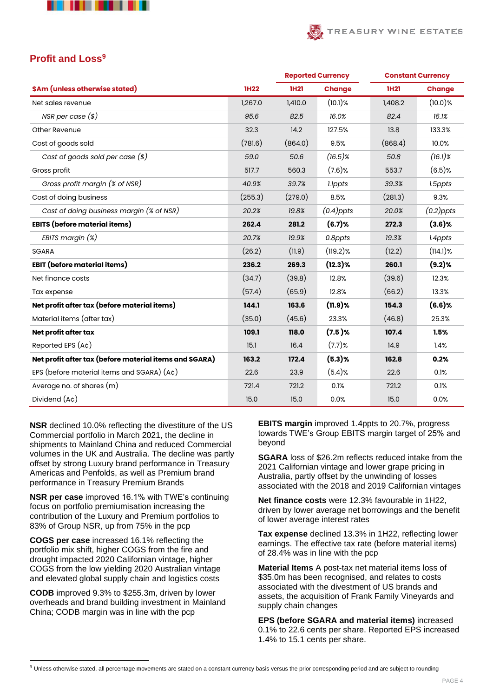



# **Profit and Loss<sup>9</sup>**

|                                                        |             | <b>Reported Currency</b> |               |             | <b>Constant Currency</b> |  |
|--------------------------------------------------------|-------------|--------------------------|---------------|-------------|--------------------------|--|
| \$Am (unless otherwise stated)                         | <b>1H22</b> | <b>1H21</b>              | <b>Change</b> | <b>1H21</b> | <b>Change</b>            |  |
| Net sales revenue                                      | 1,267.0     | 1,410.0                  | $(10.1)$ %    | 1,408.2     | $(10.0)$ %               |  |
| NSR per case $(\$)$                                    | 95.6        | 82.5                     | 16.0%         | 82.4        | 16.1%                    |  |
| Other Revenue                                          | 32.3        | 14.2                     | 127.5%        | 13.8        | 133.3%                   |  |
| Cost of goods sold                                     | (781.6)     | (864.0)                  | 9.5%          | (868.4)     | 10.0%                    |  |
| Cost of goods sold per case $(*)$                      | 59.0        | 50.6                     | $(16.5)$ %    | 50.8        | $(16.1)$ %               |  |
| Gross profit                                           | 517.7       | 560.3                    | $(7.6)$ %     | 553.7       | $(6.5)$ %                |  |
| Gross profit margin (% of NSR)                         | 40.9%       | 39.7%                    | 1.1ppts       | 39.3%       | 1.5ppts                  |  |
| Cost of doing business                                 | (255.3)     | (279.0)                  | 8.5%          | (281.3)     | 9.3%                     |  |
| Cost of doing business margin (% of NSR)               | 20.2%       | 19.8%                    | $(0.4)$ ppts  | 20.0%       | $(0.2)$ ppts             |  |
| <b>EBITS</b> (before material items)                   | 262.4       | 281.2                    | $(6.7)$ %     | 272.3       | $(3.6)$ %                |  |
| EBITS margin (%)                                       | 20.7%       | 19.9%                    | 0.8ppts       | 19.3%       | 1.4ppts                  |  |
| SGARA                                                  | (26.2)      | (11.9)                   | $(119.2)$ %   | (12.2)      | $(114.1)$ %              |  |
| <b>EBIT</b> (before material items)                    | 236.2       | 269.3                    | $(12.3)$ %    | 260.1       | (9.2)%                   |  |
| Net finance costs                                      | (34.7)      | (39.8)                   | 12.8%         | (39.6)      | 12.3%                    |  |
| Tax expense                                            | (57.4)      | (65.9)                   | 12.8%         | (66.2)      | 13.3%                    |  |
| Net profit after tax (before material items)           | 144.1       | 163.6                    | $(11.9)$ %    | 154.3       | $(6.6)$ %                |  |
| Material items (after tax)                             | (35.0)      | (45.6)                   | 23.3%         | (46.8)      | 25.3%                    |  |
| Net profit after tax                                   | 109.1       | 118.0                    | $(7.5)$ %     | 107.4       | 1.5%                     |  |
| Reported EPS (Ac)                                      | 15.1        | 16.4                     | $(7.7)$ %     | 14.9        | 1.4%                     |  |
| Net profit after tax (before material items and SGARA) | 163.2       | 172.4                    | $(5.3)$ %     | 162.8       | 0.2%                     |  |
| EPS (before material items and SGARA) (Aç)             | 22.6        | 23.9                     | (5.4)%        | 22.6        | 0.1%                     |  |
| Average no. of shares (m)                              | 721.4       | 721.2                    | 0.1%          | 721.2       | 0.1%                     |  |
| Dividend (Ac)                                          | 15.0        | 15.0                     | 0.0%          | 15.0        | 0.0%                     |  |

**NSR** declined 10.0% reflecting the divestiture of the US Commercial portfolio in March 2021, the decline in shipments to Mainland China and reduced Commercial volumes in the UK and Australia. The decline was partly offset by strong Luxury brand performance in Treasury Americas and Penfolds, as well as Premium brand performance in Treasury Premium Brands

**NSR per case** improved 16.1% with TWE's continuing focus on portfolio premiumisation increasing the contribution of the Luxury and Premium portfolios to 83% of Group NSR, up from 75% in the pcp

**COGS per case** increased 16.1% reflecting the portfolio mix shift, higher COGS from the fire and drought impacted 2020 Californian vintage, higher COGS from the low yielding 2020 Australian vintage and elevated global supply chain and logistics costs

**CODB** improved 9.3% to \$255.3m, driven by lower overheads and brand building investment in Mainland China; CODB margin was in line with the pcp

**EBITS margin** improved 1.4ppts to 20.7%, progress towards TWE's Group EBITS margin target of 25% and beyond

**SGARA** loss of \$26.2m reflects reduced intake from the 2021 Californian vintage and lower grape pricing in Australia, partly offset by the unwinding of losses associated with the 2018 and 2019 Californian vintages

**Net finance costs** were 12.3% favourable in 1H22, driven by lower average net borrowings and the benefit of lower average interest rates

**Tax expense** declined 13.3% in 1H22, reflecting lower earnings. The effective tax rate (before material items) of 28.4% was in line with the pcp

**Material Items** A post-tax net material items loss of \$35.0m has been recognised, and relates to costs associated with the divestment of US brands and assets, the acquisition of Frank Family Vineyards and supply chain changes

**EPS (before SGARA and material items)** increased 0.1% to 22.6 cents per share. Reported EPS increased 1.4% to 15.1 cents per share.

<sup>&</sup>lt;sup>9</sup> Unless otherwise stated, all percentage movements are stated on a constant currency basis versus the prior corresponding period and are subject to rounding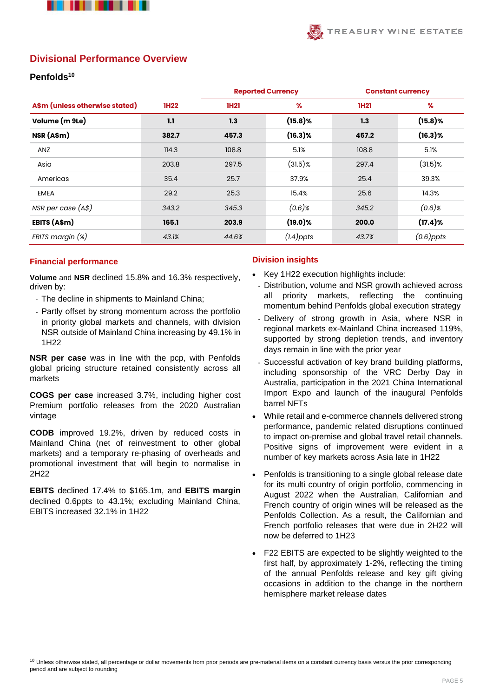



# **Divisional Performance Overview**

### **Penfolds<sup>10</sup>**

|                                |             |             | <b>Reported Currency</b> | <b>Constant currency</b> |              |
|--------------------------------|-------------|-------------|--------------------------|--------------------------|--------------|
| A\$m (unless otherwise stated) | <b>1H22</b> | <b>1H21</b> | $\%$                     | <b>1H21</b>              | $\%$         |
| Volume (m 9Le)                 | 1.1         | 1.3         | $(15.8)$ %               | 1.3                      | $(15.8)$ %   |
| NSR (A\$m)                     | 382.7       | 457.3       | $(16.3)$ %               | 457.2                    | $(16.3)$ %   |
| ANZ                            | 114.3       | 108.8       | 5.1%                     | 108.8                    | 5.1%         |
| Asia                           | 203.8       | 297.5       | $(31.5)\%$               | 297.4                    | $(31.5)$ %   |
| Americas                       | 35.4        | 25.7        | 37.9%                    | 25.4                     | 39.3%        |
| <b>EMEA</b>                    | 29.2        | 25.3        | 15.4%                    | 25.6                     | 14.3%        |
| NSR per case (A\$)             | 343.2       | 345.3       | $(0.6)$ %                | 345.2                    | $(0.6)$ %    |
| EBITS (A\$m)                   | 165.1       | 203.9       | $(19.0)$ %               | 200.0                    | $(17.4)$ %   |
| EBITS margin $(x)$             | 43.1%       | 44.6%       | $(1.4)$ ppts             | 43.7%                    | $(0.6)$ ppts |

#### **Financial performance**

**Volume** and **NSR** declined 15.8% and 16.3% respectively, driven by:

- The decline in shipments to Mainland China;
- Partly offset by strong momentum across the portfolio in priority global markets and channels, with division NSR outside of Mainland China increasing by 49.1% in 1H22

**NSR per case** was in line with the pcp, with Penfolds global pricing structure retained consistently across all markets

**COGS per case** increased 3.7%, including higher cost Premium portfolio releases from the 2020 Australian vintage

**CODB** improved 19.2%, driven by reduced costs in Mainland China (net of reinvestment to other global markets) and a temporary re-phasing of overheads and promotional investment that will begin to normalise in 2H22

**EBITS** declined 17.4% to \$165.1m, and **EBITS margin** declined 0.6ppts to 43.1%; excluding Mainland China, EBITS increased 32.1% in 1H22

#### **Division insights**

- Key 1H22 execution highlights include:
	- Distribution, volume and NSR growth achieved across priority markets, reflecting the continuing momentum behind Penfolds global execution strategy
	- Delivery of strong growth in Asia, where NSR in regional markets ex-Mainland China increased 119%, supported by strong depletion trends, and inventory days remain in line with the prior year
	- Successful activation of key brand building platforms, including sponsorship of the VRC Derby Day in Australia, participation in the 2021 China International Import Expo and launch of the inaugural Penfolds barrel NFTs
- While retail and e-commerce channels delivered strong performance, pandemic related disruptions continued to impact on-premise and global travel retail channels. Positive signs of improvement were evident in a number of key markets across Asia late in 1H22
- Penfolds is transitioning to a single global release date for its multi country of origin portfolio, commencing in August 2022 when the Australian, Californian and French country of origin wines will be released as the Penfolds Collection. As a result, the Californian and French portfolio releases that were due in 2H22 will now be deferred to 1H23
- F22 EBITS are expected to be slightly weighted to the first half, by approximately 1-2%, reflecting the timing of the annual Penfolds release and key gift giving occasions in addition to the change in the northern hemisphere market release dates

<sup>&</sup>lt;sup>10</sup> Unless otherwise stated, all percentage or dollar movements from prior periods are pre-material items on a constant currency basis versus the prior corresponding period and are subject to rounding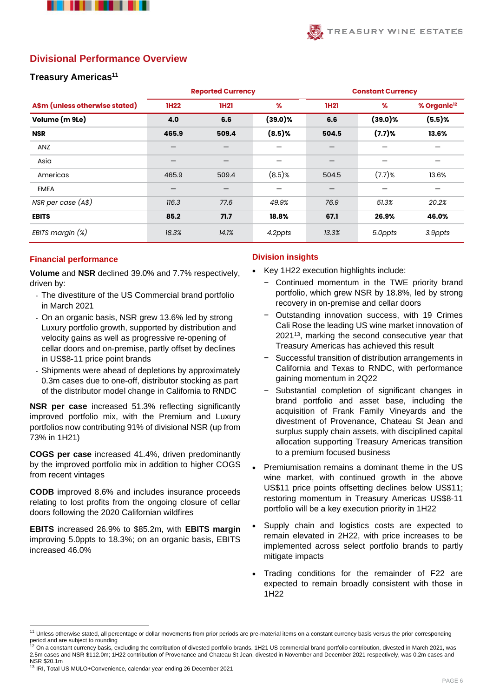



## **Divisional Performance Overview**

#### **Treasury Americas<sup>11</sup>**

|                                |             | <b>Reported Currency</b> |            |             | <b>Constant Currency</b> |                         |  |  |
|--------------------------------|-------------|--------------------------|------------|-------------|--------------------------|-------------------------|--|--|
| A\$m (unless otherwise stated) | <b>1H22</b> | <b>1H21</b>              | $\%$       | <b>1H21</b> | %                        | % Organic <sup>12</sup> |  |  |
| Volume (m 9Le)                 | 4.0         | 6.6                      | $(39.0)\%$ | 6.6         | $(39.0)$ %               | (5.5)%                  |  |  |
| <b>NSR</b>                     | 465.9       | 509.4                    | $(8.5)$ %  | 504.5       | $(7.7)$ %                | 13.6%                   |  |  |
| ANZ                            |             |                          |            |             |                          |                         |  |  |
| Asia                           |             |                          |            |             |                          |                         |  |  |
| Americas                       | 465.9       | 509.4                    | $(8.5)$ %  | 504.5       | $(7.7)$ %                | 13.6%                   |  |  |
| <b>EMEA</b>                    |             |                          |            |             |                          |                         |  |  |
| NSR per case (A\$)             | 116.3       | 77.6                     | 49.9%      | 76.9        | 51.3%                    | 20.2%                   |  |  |
| <b>EBITS</b>                   | 85.2        | 71.7                     | 18.8%      | 67.1        | 26.9%                    | 46.0%                   |  |  |
| EBITS margin $(x)$             | 18.3%       | 14.1%                    | 4.2ppts    | 13.3%       | 5.0ppts                  | 3.9ppts                 |  |  |

#### **Financial performance**

**Volume** and **NSR** declined 39.0% and 7.7% respectively, driven by:

- The divestiture of the US Commercial brand portfolio in March 2021
- On an organic basis, NSR grew 13.6% led by strong Luxury portfolio growth, supported by distribution and velocity gains as well as progressive re-opening of cellar doors and on-premise, partly offset by declines in US\$8-11 price point brands
- Shipments were ahead of depletions by approximately 0.3m cases due to one-off, distributor stocking as part of the distributor model change in California to RNDC

**NSR per case** increased 51.3% reflecting significantly improved portfolio mix, with the Premium and Luxury portfolios now contributing 91% of divisional NSR (up from 73% in 1H21)

**COGS per case** increased 41.4%, driven predominantly by the improved portfolio mix in addition to higher COGS from recent vintages

**CODB** improved 8.6% and includes insurance proceeds relating to lost profits from the ongoing closure of cellar doors following the 2020 Californian wildfires

**EBITS** increased 26.9% to \$85.2m, with **EBITS margin** improving 5.0ppts to 18.3%; on an organic basis, EBITS increased 46.0%

#### **Division insights**

- Key 1H22 execution highlights include:
	- − Continued momentum in the TWE priority brand portfolio, which grew NSR by 18.8%, led by strong recovery in on-premise and cellar doors
	- − Outstanding innovation success, with 19 Crimes Cali Rose the leading US wine market innovation of 2021<sup>13</sup>, marking the second consecutive year that Treasury Americas has achieved this result
	- − Successful transition of distribution arrangements in California and Texas to RNDC, with performance gaining momentum in 2Q22
	- Substantial completion of significant changes in brand portfolio and asset base, including the acquisition of Frank Family Vineyards and the divestment of Provenance, Chateau St Jean and surplus supply chain assets, with disciplined capital allocation supporting Treasury Americas transition to a premium focused business
- Premiumisation remains a dominant theme in the US wine market, with continued growth in the above US\$11 price points offsetting declines below US\$11; restoring momentum in Treasury Americas US\$8-11 portfolio will be a key execution priority in 1H22
- Supply chain and logistics costs are expected to remain elevated in 2H22, with price increases to be implemented across select portfolio brands to partly mitigate impacts
- Trading conditions for the remainder of F22 are expected to remain broadly consistent with those in 1H22

<sup>&</sup>lt;sup>11</sup> Unless otherwise stated, all percentage or dollar movements from prior periods are pre-material items on a constant currency basis versus the prior corresponding period and are subject to rounding<br><sup>12</sup> On a constant currency basis, excluding the contribution of divested portfolio brands. 1H21 US commercial brand portfolio contribution, divested in March 2021, was

<sup>2.5</sup>m cases and NSR \$112.0m; 1H22 contribution of Provenance and Chateau St Jean, divested in November and December 2021 respectively, was 0.2m cases and NSR \$20.1m

<sup>13</sup> IRI, Total US MULO+Convenience, calendar year ending 26 December 2021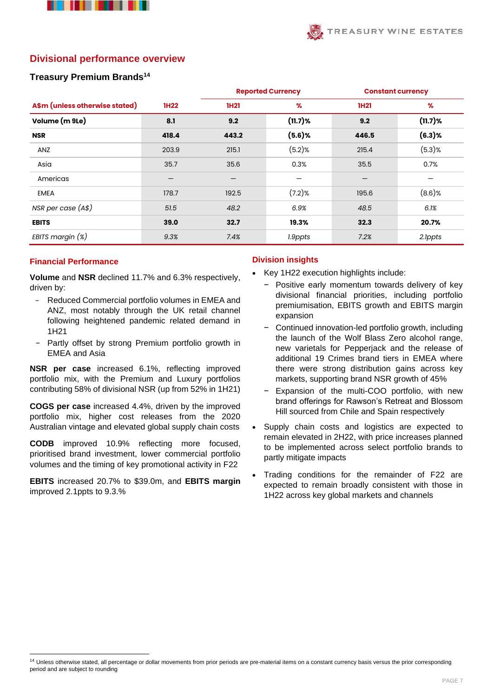



## **Divisional performance overview**

#### **Treasury Premium Brands<sup>14</sup>**

|                                |             |             | <b>Reported Currency</b> | <b>Constant currency</b> |            |
|--------------------------------|-------------|-------------|--------------------------|--------------------------|------------|
| A\$m (unless otherwise stated) | <b>1H22</b> | <b>1H21</b> | $\%$                     | <b>1H21</b>              | %          |
| Volume (m 9Le)                 | 8.1         | 9.2         | $(11.7)$ %               | 9.2                      | $(11.7)$ % |
| <b>NSR</b>                     | 418.4       | 443.2       | $(5.6)$ %                | 446.5                    | $(6.3)$ %  |
| ANZ                            | 203.9       | 215.1       | $(5.2)$ %                | 215.4                    | $(5.3)$ %  |
| Asia                           | 35.7        | 35.6        | 0.3%                     | 35.5                     | 0.7%       |
| Americas                       | —           |             |                          | $\overline{\phantom{0}}$ |            |
| <b>EMEA</b>                    | 178.7       | 192.5       | $(7.2)$ %                | 195.6                    | $(8.6)$ %  |
| NSR per case (A\$)             | 51.5        | 48.2        | 6.9%                     | 48.5                     | 6.1%       |
| <b>EBITS</b>                   | 39.0        | 32.7        | 19.3%                    | 32.3                     | 20.7%      |
| EBITS margin $(x)$             | 9.3%        | 7.4%        | 1.9ppts                  | 7.2%                     | 2.1ppts    |

#### **Financial Performance**

**Volume** and **NSR** declined 11.7% and 6.3% respectively, driven by:

- − Reduced Commercial portfolio volumes in EMEA and ANZ, most notably through the UK retail channel following heightened pandemic related demand in 1H21
- Partly offset by strong Premium portfolio growth in EMEA and Asia

**NSR per case** increased 6.1%, reflecting improved portfolio mix, with the Premium and Luxury portfolios contributing 58% of divisional NSR (up from 52% in 1H21)

**COGS per case** increased 4.4%, driven by the improved portfolio mix, higher cost releases from the 2020 Australian vintage and elevated global supply chain costs

**CODB** improved 10.9% reflecting more focused, prioritised brand investment, lower commercial portfolio volumes and the timing of key promotional activity in F22

**EBITS** increased 20.7% to \$39.0m, and **EBITS margin** improved 2.1ppts to 9.3.%

#### **Division insights**

- Key 1H22 execution highlights include:
	- − Positive early momentum towards delivery of key divisional financial priorities, including portfolio premiumisation, EBITS growth and EBITS margin expansion
	- − Continued innovation-led portfolio growth, including the launch of the Wolf Blass Zero alcohol range, new varietals for Pepperjack and the release of additional 19 Crimes brand tiers in EMEA where there were strong distribution gains across key markets, supporting brand NSR growth of 45%
	- Expansion of the multi-COO portfolio, with new brand offerings for Rawson's Retreat and Blossom Hill sourced from Chile and Spain respectively
- Supply chain costs and logistics are expected to remain elevated in 2H22, with price increases planned to be implemented across select portfolio brands to partly mitigate impacts
- Trading conditions for the remainder of F22 are expected to remain broadly consistent with those in 1H22 across key global markets and channels

<sup>&</sup>lt;sup>14</sup> Unless otherwise stated, all percentage or dollar movements from prior periods are pre-material items on a constant currency basis versus the prior corresponding period and are subject to rounding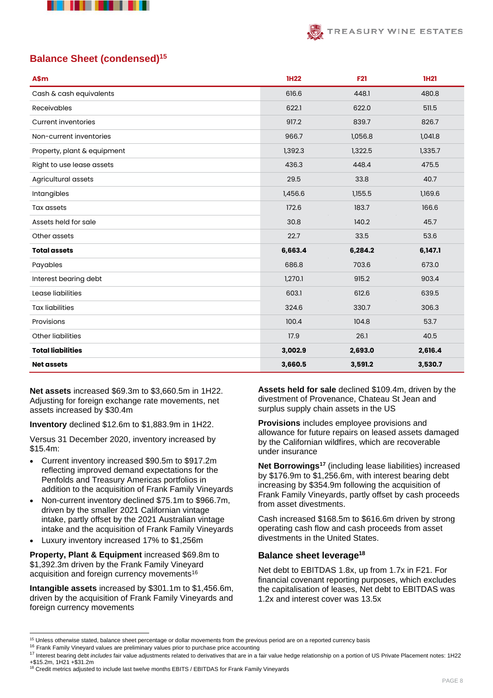

# TREASURY WINE ESTATES

# **Balance Sheet (condensed)<sup>15</sup>**

| A\$m                        | <b>1H22</b> | <b>F21</b> | <b>1H21</b> |
|-----------------------------|-------------|------------|-------------|
| Cash & cash equivalents     | 616.6       | 448.1      | 480.8       |
| <b>Receivables</b>          | 622.1       | 622.0      | 511.5       |
| <b>Current inventories</b>  | 917.2       | 839.7      | 826.7       |
| Non-current inventories     | 966.7       | 1,056.8    | 1,041.8     |
| Property, plant & equipment | 1,392.3     | 1,322.5    | 1,335.7     |
| Right to use lease assets   | 436.3       | 448.4      | 475.5       |
| Agricultural assets         | 29.5        | 33.8       | 40.7        |
| Intangibles                 | 1,456.6     | 1,155.5    | 1,169.6     |
| <b>Tax assets</b>           | 172.6       | 183.7      | 166.6       |
| Assets held for sale        | 30.8        | 140.2      | 45.7        |
| Other assets                | 22.7        | 33.5       | 53.6        |
| <b>Total assets</b>         | 6,663.4     | 6,284.2    | 6,147.1     |
| Payables                    | 686.8       | 703.6      | 673.0       |
| Interest bearing debt       | 1,270.1     | 915.2      | 903.4       |
| Lease liabilities           | 603.1       | 612.6      | 639.5       |
| <b>Tax liabilities</b>      | 324.6       | 330.7      | 306.3       |
| Provisions                  | 100.4       | 104.8      | 53.7        |
| Other liabilities           | 17.9        | 26.1       | 40.5        |
| <b>Total liabilities</b>    | 3,002.9     | 2,693.0    | 2,616.4     |
| <b>Net assets</b>           | 3,660.5     | 3,591.2    | 3,530.7     |

**Net assets** increased \$69.3m to \$3,660.5m in 1H22. Adjusting for foreign exchange rate movements, net assets increased by \$30.4m

**Inventory** declined \$12.6m to \$1,883.9m in 1H22.

Versus 31 December 2020, inventory increased by \$15.4m:

- Current inventory increased \$90.5m to \$917.2m reflecting improved demand expectations for the Penfolds and Treasury Americas portfolios in addition to the acquisition of Frank Family Vineyards
- Non-current inventory declined \$75.1m to \$966.7m, driven by the smaller 2021 Californian vintage intake, partly offset by the 2021 Australian vintage intake and the acquisition of Frank Family Vineyards
- Luxury inventory increased 17% to \$1,256m

**Property, Plant & Equipment** increased \$69.8m to \$1,392.3m driven by the Frank Family Vineyard acquisition and foreign currency movements<sup>16</sup>

**Intangible assets** increased by \$301.1m to \$1,456.6m, driven by the acquisition of Frank Family Vineyards and foreign currency movements

**Assets held for sale** declined \$109.4m, driven by the divestment of Provenance, Chateau St Jean and surplus supply chain assets in the US

**Provisions** includes employee provisions and allowance for future repairs on leased assets damaged by the Californian wildfires, which are recoverable under insurance

**Net Borrowings<sup>17</sup>** (including lease liabilities) increased by \$176.9m to \$1,256.6m, with interest bearing debt increasing by \$354.9m following the acquisition of Frank Family Vineyards, partly offset by cash proceeds from asset divestments.

Cash increased \$168.5m to \$616.6m driven by strong operating cash flow and cash proceeds from asset divestments in the United States.

### **Balance sheet leverage<sup>18</sup>**

Net debt to EBITDAS 1.8x, up from 1.7x in F21. For financial covenant reporting purposes, which excludes the capitalisation of leases, Net debt to EBITDAS was 1.2x and interest cover was 13.5x

<sup>&</sup>lt;sup>15</sup> Unless otherwise stated, balance sheet percentage or dollar movements from the previous period are on a reported currency basis

<sup>&</sup>lt;sup>16</sup> Frank Family Vineyard values are preliminary values prior to purchase price accounting

<sup>17</sup> Interest bearing debt *includes* fair value adjustments related to derivatives that are in a fair value hedge relationship on a portion of US Private Placement notes: 1H22 +\$15.2m, 1H21 +\$31.2m <sup>18</sup> Credit metrics adjusted to include last twelve months EBITS / EBITDAS for Frank Family Vineyards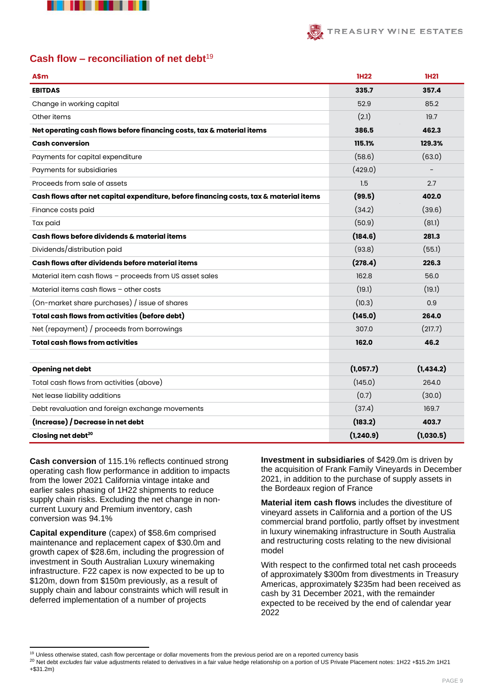



# **Cash flow – reconciliation of net debt**<sup>19</sup>

| A\$m                                                                                   | <b>1H22</b> | <b>1H21</b> |
|----------------------------------------------------------------------------------------|-------------|-------------|
| <b>EBITDAS</b>                                                                         | 335.7       | 357.4       |
| Change in working capital                                                              | 52.9        | 85.2        |
| Other items                                                                            | (2.1)       | 19.7        |
| Net operating cash flows before financing costs, tax & material items                  | 386.5       | 462.3       |
| <b>Cash conversion</b>                                                                 | 115.1%      | 129.3%      |
| Payments for capital expenditure                                                       | (58.6)      | (63.0)      |
| Payments for subsidiaries                                                              | (429.0)     |             |
| Proceeds from sale of assets                                                           | 1.5         | 2.7         |
| Cash flows after net capital expenditure, before financing costs, tax & material items | (99.5)      | 402.0       |
| Finance costs paid                                                                     | (34.2)      | (39.6)      |
| Tax paid                                                                               | (50.9)      | (81.1)      |
| Cash flows before dividends & material items                                           | (184.6)     | 281.3       |
| Dividends/distribution paid                                                            | (93.8)      | (55.1)      |
| Cash flows after dividends before material items                                       | (278.4)     | 226.3       |
| Material item cash flows - proceeds from US asset sales                                | 162.8       | 56.0        |
| Material items cash flows - other costs                                                | (19.1)      | (19.1)      |
| (On-market share purchases) / issue of shares                                          | (10.3)      | 0.9         |
| Total cash flows from activities (before debt)                                         | (145.0)     | 264.0       |
| Net (repayment) / proceeds from borrowings                                             | 307.0       | (217.7)     |
| <b>Total cash flows from activities</b>                                                | 162.0       | 46.2        |
|                                                                                        |             |             |
| Opening net debt                                                                       | (1,057.7)   | (1,434.2)   |
| Total cash flows from activities (above)                                               | (145.0)     | 264.0       |
| Net lease liability additions                                                          | (0.7)       | (30.0)      |
| Debt revaluation and foreign exchange movements                                        | (37.4)      | 169.7       |
| (Increase) / Decrease in net debt                                                      | (183.2)     | 403.7       |
| Closing net debt <sup>20</sup>                                                         | (1, 240.9)  | (1,030.5)   |

**Cash conversion** of 115.1% reflects continued strong operating cash flow performance in addition to impacts from the lower 2021 California vintage intake and earlier sales phasing of 1H22 shipments to reduce supply chain risks. Excluding the net change in noncurrent Luxury and Premium inventory, cash conversion was 94.1%

**Capital expenditure** (capex) of \$58.6m comprised maintenance and replacement capex of \$30.0m and growth capex of \$28.6m, including the progression of investment in South Australian Luxury winemaking infrastructure. F22 capex is now expected to be up to \$120m, down from \$150m previously, as a result of supply chain and labour constraints which will result in deferred implementation of a number of projects

**Investment in subsidiaries** of \$429.0m is driven by the acquisition of Frank Family Vineyards in December 2021, in addition to the purchase of supply assets in the Bordeaux region of France

**Material item cash flows** includes the divestiture of vineyard assets in California and a portion of the US commercial brand portfolio, partly offset by investment in luxury winemaking infrastructure in South Australia and restructuring costs relating to the new divisional model

With respect to the confirmed total net cash proceeds of approximately \$300m from divestments in Treasury Americas, approximately \$235m had been received as cash by 31 December 2021, with the remainder expected to be received by the end of calendar year 2022

<sup>19</sup> Unless otherwise stated, cash flow percentage or dollar movements from the previous period are on a reported currency basis

<sup>20</sup> Net debt *excludes* fair value adjustments related to derivatives in a fair value hedge relationship on a portion of US Private Placement notes: 1H22 +\$15.2m 1H21 +\$31.2m)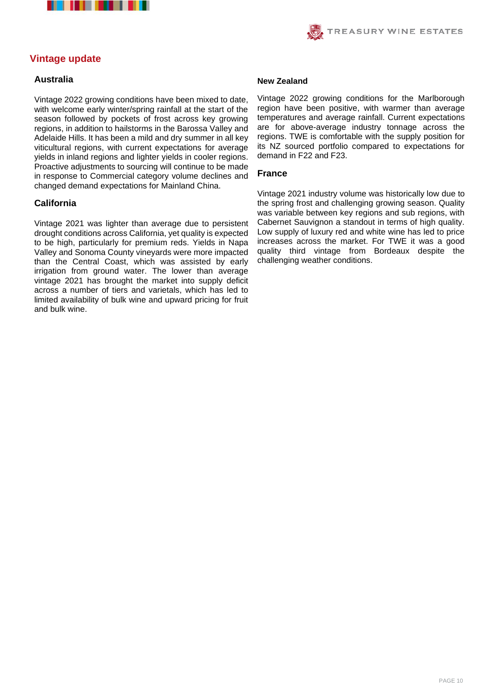



# **Vintage update**

#### **Australia**

Vintage 2022 growing conditions have been mixed to date, with welcome early winter/spring rainfall at the start of the season followed by pockets of frost across key growing regions, in addition to hailstorms in the Barossa Valley and Adelaide Hills. It has been a mild and dry summer in all key viticultural regions, with current expectations for average yields in inland regions and lighter yields in cooler regions. Proactive adjustments to sourcing will continue to be made in response to Commercial category volume declines and changed demand expectations for Mainland China.

#### **California**

Vintage 2021 was lighter than average due to persistent drought conditions across California, yet quality is expected to be high, particularly for premium reds. Yields in Napa Valley and Sonoma County vineyards were more impacted than the Central Coast, which was assisted by early irrigation from ground water. The lower than average vintage 2021 has brought the market into supply deficit across a number of tiers and varietals, which has led to limited availability of bulk wine and upward pricing for fruit and bulk wine.

#### **New Zealand**

Vintage 2022 growing conditions for the Marlborough region have been positive, with warmer than average temperatures and average rainfall. Current expectations are for above-average industry tonnage across the regions. TWE is comfortable with the supply position for its NZ sourced portfolio compared to expectations for demand in F22 and F23.

#### **France**

Vintage 2021 industry volume was historically low due to the spring frost and challenging growing season. Quality was variable between key regions and sub regions, with Cabernet Sauvignon a standout in terms of high quality. Low supply of luxury red and white wine has led to price increases across the market. For TWE it was a good quality third vintage from Bordeaux despite the challenging weather conditions.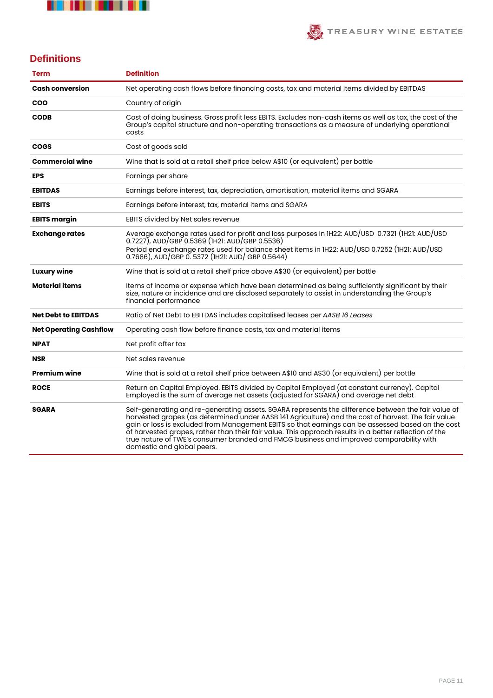



# **Definitions**

| <b>Term</b>                   | <b>Definition</b>                                                                                                                                                                                                                                                                                                                                                                                                                                                                                                                                  |
|-------------------------------|----------------------------------------------------------------------------------------------------------------------------------------------------------------------------------------------------------------------------------------------------------------------------------------------------------------------------------------------------------------------------------------------------------------------------------------------------------------------------------------------------------------------------------------------------|
| <b>Cash conversion</b>        | Net operating cash flows before financing costs, tax and material items divided by EBITDAS                                                                                                                                                                                                                                                                                                                                                                                                                                                         |
| <b>COO</b>                    | Country of origin                                                                                                                                                                                                                                                                                                                                                                                                                                                                                                                                  |
| <b>CODB</b>                   | Cost of doing business. Gross profit less EBITS. Excludes non-cash items as well as tax, the cost of the<br>Group's capital structure and non-operating transactions as a measure of underlying operational<br>costs                                                                                                                                                                                                                                                                                                                               |
| <b>COGS</b>                   | Cost of goods sold                                                                                                                                                                                                                                                                                                                                                                                                                                                                                                                                 |
| <b>Commercial wine</b>        | Wine that is sold at a retail shelf price below A\$10 (or equivalent) per bottle                                                                                                                                                                                                                                                                                                                                                                                                                                                                   |
| <b>EPS</b>                    | Earnings per share                                                                                                                                                                                                                                                                                                                                                                                                                                                                                                                                 |
| <b>EBITDAS</b>                | Earnings before interest, tax, depreciation, amortisation, material items and SGARA                                                                                                                                                                                                                                                                                                                                                                                                                                                                |
| <b>EBITS</b>                  | Earnings before interest, tax, material items and SGARA                                                                                                                                                                                                                                                                                                                                                                                                                                                                                            |
| <b>EBITS margin</b>           | EBITS divided by Net sales revenue                                                                                                                                                                                                                                                                                                                                                                                                                                                                                                                 |
| <b>Exchange rates</b>         | Average exchange rates used for profit and loss purposes in IH22: AUD/USD 0.7321 (IH21: AUD/USD<br>$(0.7227)$ , AUD/GBP 0.5369 (IH21: AUD/GBP 0.5536)<br>Period end exchange rates used for balance sheet items in IH22: AUD/USD 0.7252 (IH21: AUD/USD<br>0.7686), AUD/GBP 0. 5372 (IH21: AUD/ GBP 0.5644)                                                                                                                                                                                                                                         |
| <b>Luxury wine</b>            | Wine that is sold at a retail shelf price above A\$30 (or equivalent) per bottle                                                                                                                                                                                                                                                                                                                                                                                                                                                                   |
| <b>Material items</b>         | Items of income or expense which have been determined as being sufficiently significant by their<br>size, nature or incidence and are disclosed separately to assist in understanding the Group's<br>financial performance                                                                                                                                                                                                                                                                                                                         |
| <b>Net Debt to EBITDAS</b>    | Ratio of Net Debt to EBITDAS includes capitalised leases per AASB 16 Leases                                                                                                                                                                                                                                                                                                                                                                                                                                                                        |
| <b>Net Operating Cashflow</b> | Operating cash flow before finance costs, tax and material items                                                                                                                                                                                                                                                                                                                                                                                                                                                                                   |
| <b>NPAT</b>                   | Net profit after tax                                                                                                                                                                                                                                                                                                                                                                                                                                                                                                                               |
| <b>NSR</b>                    | Net sales revenue                                                                                                                                                                                                                                                                                                                                                                                                                                                                                                                                  |
| <b>Premium wine</b>           | Wine that is sold at a retail shelf price between A\$10 and A\$30 (or equivalent) per bottle                                                                                                                                                                                                                                                                                                                                                                                                                                                       |
| <b>ROCE</b>                   | Return on Capital Employed. EBITS divided by Capital Employed (at constant currency). Capital<br>Employed is the sum of average net assets (adjusted for SGARA) and average net debt                                                                                                                                                                                                                                                                                                                                                               |
| <b>SGARA</b>                  | Self-generating and re-generating assets. SGARA represents the difference between the fair value of<br>harvested grapes (as determined under AASB 141 Agriculture) and the cost of harvest. The fair value<br>gain or loss is excluded from Management EBITS so that earnings can be assessed based on the cost<br>of harvested grapes, rather than their fair value. This approach results in a better reflection of the<br>true nature of TWE's consumer branded and FMCG business and improved comparability with<br>domestic and global peers. |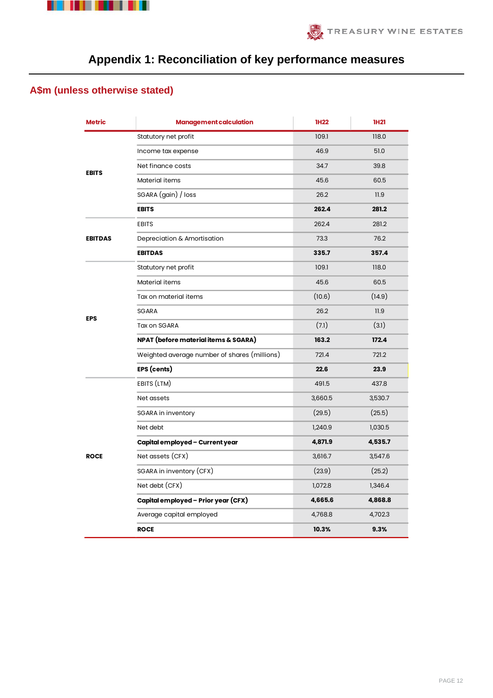



# **Appendix 1: Reconciliation of key performance measures**

# **A\$m (unless otherwise stated)**

| <b>Metric</b>                                                                                                                                                                                                                                                                                                                                                                                                                                                                                                                                                                   | <b>Management calculation</b>                | <b>1H22</b> | <b>1H21</b> |
|---------------------------------------------------------------------------------------------------------------------------------------------------------------------------------------------------------------------------------------------------------------------------------------------------------------------------------------------------------------------------------------------------------------------------------------------------------------------------------------------------------------------------------------------------------------------------------|----------------------------------------------|-------------|-------------|
|                                                                                                                                                                                                                                                                                                                                                                                                                                                                                                                                                                                 | Statutory net profit                         | 109.1       | 118.0       |
|                                                                                                                                                                                                                                                                                                                                                                                                                                                                                                                                                                                 | Income tax expense                           | 46.9        | 51.0        |
| Net finance costs<br><b>EBITS</b><br>Material items<br>SGARA (gain) / loss<br><b>EBITS</b><br><b>EBITS</b><br>Depreciation & Amortisation<br><b>EBITDAS</b><br><b>EBITDAS</b><br>Statutory net profit<br>Material items<br>Tax on material items<br><b>SGARA</b><br><b>EPS</b><br>Tax on SGARA<br>NPAT (before material items & SGARA)<br>EPS (cents)<br>EBITS (LTM)<br>Net assets<br>SGARA in inventory<br>Net debt<br>Capital employed - Current year<br>Net assets (CFX)<br><b>ROCE</b><br>SGARA in inventory (CFX)<br>Net debt (CFX)<br>Capital employed - Prior year (CFX) |                                              | 34.7        | 39.8        |
|                                                                                                                                                                                                                                                                                                                                                                                                                                                                                                                                                                                 |                                              | 45.6        | 60.5        |
|                                                                                                                                                                                                                                                                                                                                                                                                                                                                                                                                                                                 | Weighted average number of shares (millions) | 26.2        | 11.9        |
|                                                                                                                                                                                                                                                                                                                                                                                                                                                                                                                                                                                 |                                              | 262.4       | 281.2       |
|                                                                                                                                                                                                                                                                                                                                                                                                                                                                                                                                                                                 |                                              | 262.4       | 281.2       |
|                                                                                                                                                                                                                                                                                                                                                                                                                                                                                                                                                                                 | Average capital employed<br><b>ROCE</b>      | 73.3        | 76.2        |
|                                                                                                                                                                                                                                                                                                                                                                                                                                                                                                                                                                                 |                                              | 335.7       | 357.4       |
|                                                                                                                                                                                                                                                                                                                                                                                                                                                                                                                                                                                 |                                              | 109.1       | 118.0       |
|                                                                                                                                                                                                                                                                                                                                                                                                                                                                                                                                                                                 |                                              | 45.6        | 60.5        |
|                                                                                                                                                                                                                                                                                                                                                                                                                                                                                                                                                                                 |                                              | (10.6)      | (14.9)      |
|                                                                                                                                                                                                                                                                                                                                                                                                                                                                                                                                                                                 |                                              | 26.2        | 11.9        |
|                                                                                                                                                                                                                                                                                                                                                                                                                                                                                                                                                                                 |                                              | (7.1)       | (3.1)       |
|                                                                                                                                                                                                                                                                                                                                                                                                                                                                                                                                                                                 |                                              | 163.2       | 172.4       |
|                                                                                                                                                                                                                                                                                                                                                                                                                                                                                                                                                                                 |                                              | 721.4       | 721.2       |
|                                                                                                                                                                                                                                                                                                                                                                                                                                                                                                                                                                                 |                                              | 22.6        | 23.9        |
|                                                                                                                                                                                                                                                                                                                                                                                                                                                                                                                                                                                 |                                              | 491.5       | 437.8       |
|                                                                                                                                                                                                                                                                                                                                                                                                                                                                                                                                                                                 |                                              | 3,660.5     | 3,530.7     |
|                                                                                                                                                                                                                                                                                                                                                                                                                                                                                                                                                                                 |                                              | (29.5)      | (25.5)      |
|                                                                                                                                                                                                                                                                                                                                                                                                                                                                                                                                                                                 |                                              | 1,240.9     | 1,030.5     |
|                                                                                                                                                                                                                                                                                                                                                                                                                                                                                                                                                                                 |                                              | 4,871.9     | 4,535.7     |
|                                                                                                                                                                                                                                                                                                                                                                                                                                                                                                                                                                                 |                                              | 3,616.7     | 3,547.6     |
|                                                                                                                                                                                                                                                                                                                                                                                                                                                                                                                                                                                 |                                              | (23.9)      | (25.2)      |
|                                                                                                                                                                                                                                                                                                                                                                                                                                                                                                                                                                                 |                                              | 1,072.8     | 1,346.4     |
|                                                                                                                                                                                                                                                                                                                                                                                                                                                                                                                                                                                 |                                              | 4,665.6     | 4,868.8     |
|                                                                                                                                                                                                                                                                                                                                                                                                                                                                                                                                                                                 |                                              | 4,768.8     | 4,702.3     |
|                                                                                                                                                                                                                                                                                                                                                                                                                                                                                                                                                                                 |                                              | 10.3%       | 9.3%        |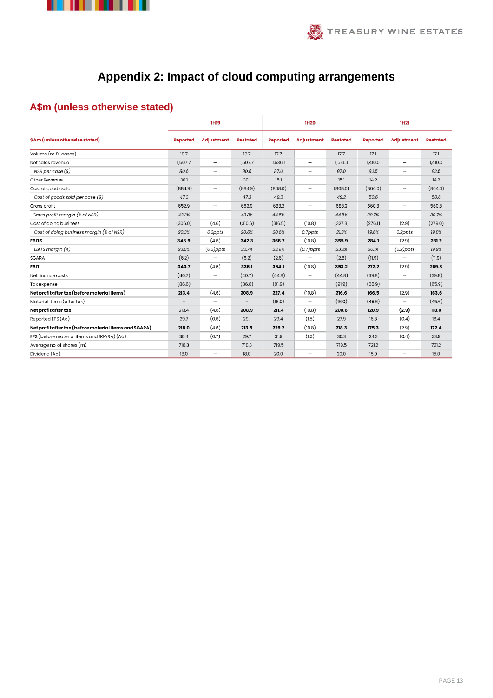



# **Appendix 2: Impact of cloud computing arrangements**

# **A\$m (unless otherwise stated)**

|                                                        |                 | <b>1H19</b>              |                 |                 | <b>1H20</b>                       |                 |                 | <b>1H21</b>              |                 |
|--------------------------------------------------------|-----------------|--------------------------|-----------------|-----------------|-----------------------------------|-----------------|-----------------|--------------------------|-----------------|
| \$Am (unless otherwise stated)                         | <b>Reported</b> | <b>Adjustment</b>        | <b>Restated</b> | <b>Reported</b> | <b>Adjustment</b>                 | <b>Restated</b> | <b>Reported</b> | <b>Adjustment</b>        | <b>Restated</b> |
| Volume (m 9L cases)                                    | 18.7            | $\overline{\phantom{0}}$ | 18.7            | 17.7            | $\overline{\phantom{0}}$          | 17.7            | 17.1            | $\overline{\phantom{0}}$ | 17.1            |
| Net sales revenue                                      | 1,507.7         | $\overline{\phantom{0}}$ | 1,507.7         | 1,536.1         | $\overbrace{\phantom{1232211}}$   | 1,536.1         | 1,410.0         | $\qquad \qquad -$        | 1,410.0         |
| NSR per case $(s)$                                     | 80.6            | $\overline{\phantom{0}}$ | 80.6            | 87.0            | $\overbrace{\phantom{123221111}}$ | 87.0            | 82.5            | $\overline{\phantom{m}}$ | 82.5            |
| Other Revenue                                          | 30.1            | $\overline{\phantom{0}}$ | 30.1            | 15.1            | $\overline{\phantom{0}}$          | 15.1            | 14.2            | $\overline{\phantom{0}}$ | 14.2            |
| Cost of goods sold                                     | (884.9)         | $\overline{\phantom{0}}$ | (884.9)         | (868.0)         | $\overline{\phantom{0}}$          | (868.0)         | (864.0)         | $\qquad \qquad -$        | (864.0)         |
| Cost of goods sold per case $(\$)$                     | 47.3            | $\overline{\phantom{0}}$ | 47.3            | 49.2            | $\overline{\phantom{0}}$          | 49.2            | 50.6            | $\qquad \qquad -$        | 50.6            |
| Gross profit                                           | 652.9           | -                        | 652.9           | 683.2           |                                   | 683.2           | 560.3           |                          | 560.3           |
| Gross profit margin (% of NSR)                         | 43.3%           | $\overline{\phantom{0}}$ | 43.3%           | 44.5%           |                                   | 44.5%           | 39.7%           | $\overline{\phantom{m}}$ | 39.7%           |
| Cost of doing business                                 | (306.0)         | (4.6)                    | (310.6)         | (316.5)         | (10.8)                            | (327.3)         | (276.1)         | (2.9)                    | (279.0)         |
| Cost of doing business margin (% of NSR)               | 20.3%           | 0.3ppts                  | 20.6%           | 20.6%           | 0.7ppts                           | 21.3%           | 19.6%           | 0.2ppts                  | 19.8%           |
| <b>EBITS</b>                                           | 346.9           | (4.6)                    | 342.3           | 366.7           | (10.8)                            | 355.9           | 284.1           | (2.9)                    | 281.2           |
| EBITS margin $(x)$                                     | 23.0%           | $(0.3)$ ppts             | 22.7%           | 23.9%           | $(0.7)$ ppts                      | 23.2%           | 20.1%           | $(0.2)$ ppts             | 19.9%           |
| <b>SGARA</b>                                           | (6.2)           |                          | (6.2)           | (2.6)           |                                   | (2.6)           | (11.9)          | $\qquad \qquad -$        | (11.9)          |
| <b>EBIT</b>                                            | 340.7           | (4.6)                    | 336.1           | 364.1           | (10.8)                            | 353.2           | 272.2           | (2.9)                    | 269.3           |
| Net finance costs                                      | (40.7)          | -                        | (40.7)          | (44.8)          |                                   | (44.8)          | (39.8)          |                          | (39.8)          |
| Tax expense                                            | (86.6)          | $\overline{\phantom{0}}$ | (86.6)          | (91.9)          |                                   | (91.9)          | (65.9)          | $\qquad \qquad -$        | (65.9)          |
| Net profit after tax (before material items)           | 213.4           | (4.6)                    | 208.9           | 227.4           | (10.8)                            | 216.6           | 166.5           | (2.9)                    | 163.6           |
| Material items (after tax)                             |                 | $\overline{\phantom{0}}$ |                 | (16.0)          |                                   | (16.0)          | (45.6)          | $\overline{\phantom{0}}$ | (45.6)          |
| Net profit after tax                                   | 213.4           | (4.6)                    | 208.9           | 211.4           | (10.8)                            | 200.6           | 120.9           | (2.9)                    | 118.0           |
| Reported EPS (Ac)                                      | 29.7            | (0.6)                    | 29.1            | 29.4            | (1.5)                             | 27.9            | 16.8            | (0.4)                    | 16.4            |
| Net profit after tax (before material items and SGARA) | 218.0           | (4.6)                    | 213.5           | 229.2           | (10.8)                            | 218.3           | 175.3           | (2.9)                    | 172.4           |
| EPS (before material items and SGARA) (Ac)             | 30.4            | (0.7)                    | 29.7            | 31.9            | (1.6)                             | 30.3            | 24.3            | (0.4)                    | 23.9            |
| Average no. of shares (m)                              | 718.3           | $\overline{\phantom{0}}$ | 718.3           | 719.5           | $\qquad \qquad -$                 | 719.5           | 721.2           | $\overline{\phantom{0}}$ | 721.2           |
| Dividend (Ac)                                          | 18.0            | $\overline{\phantom{0}}$ | 18.0            | 20.0            | $\overline{\phantom{0}}$          | 20.0            | 15.0            |                          | 15.0            |